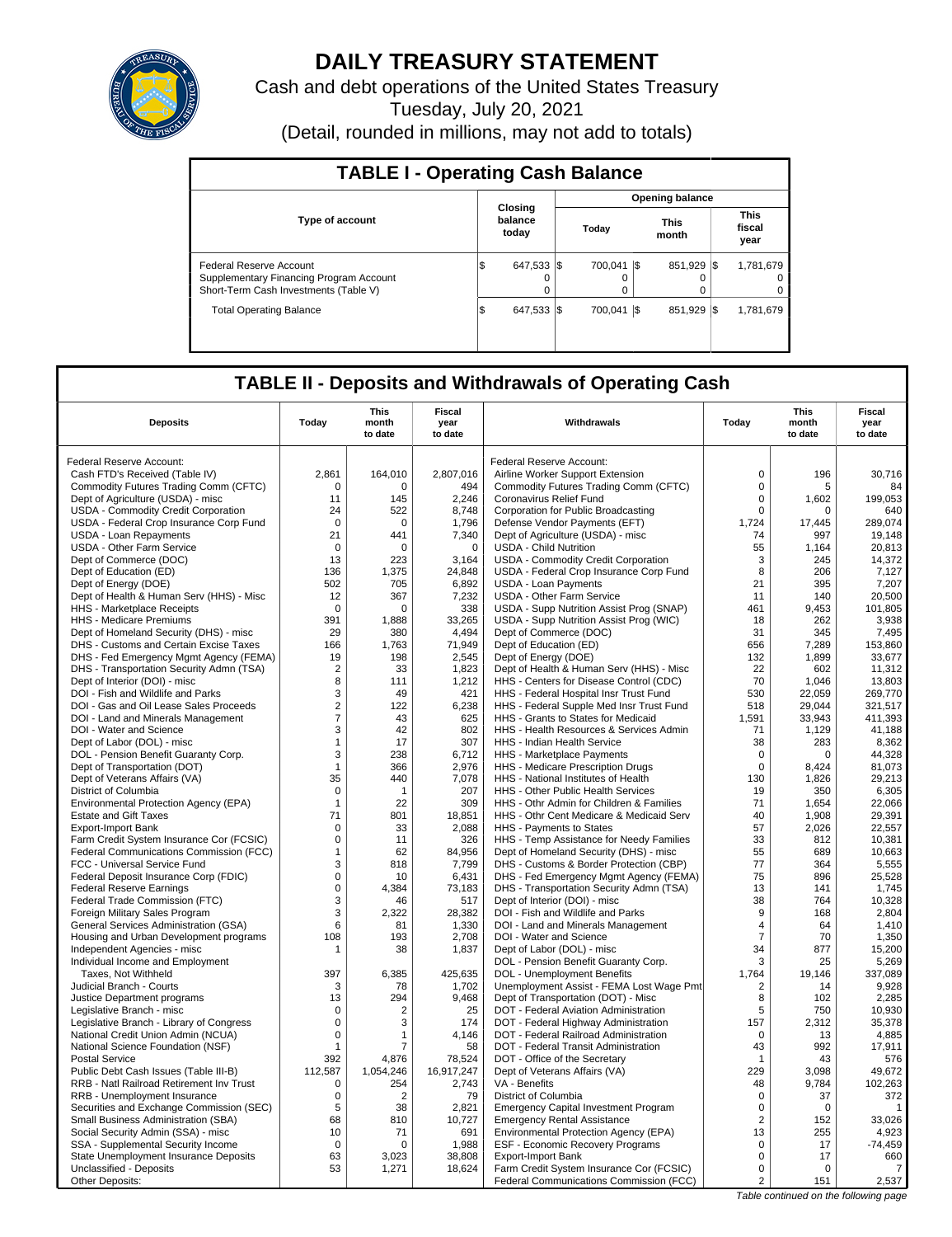

# **DAILY TREASURY STATEMENT**

Cash and debt operations of the United States Treasury

Tuesday, July 20, 2021

(Detail, rounded in millions, may not add to totals)

| <b>TABLE I - Operating Cash Balance</b>                                                                     |                             |                         |  |              |                        |               |      |                               |  |  |
|-------------------------------------------------------------------------------------------------------------|-----------------------------|-------------------------|--|--------------|------------------------|---------------|------|-------------------------------|--|--|
|                                                                                                             |                             |                         |  |              | <b>Opening balance</b> |               |      |                               |  |  |
| <b>Type of account</b>                                                                                      | Closina<br>balance<br>today |                         |  | Today        |                        | This<br>month |      | <b>This</b><br>fiscal<br>year |  |  |
| Federal Reserve Account<br>Supplementary Financing Program Account<br>Short-Term Cash Investments (Table V) | 1\$                         | 647.533 \\$<br>$\Omega$ |  | 700.041<br>0 | I\$                    | 851.929       | -1\$ | 1,781,679<br>0<br>0           |  |  |
| <b>Total Operating Balance</b>                                                                              | \$                          | 647,533 \$              |  | 700.041      | 1\$                    | 851.929       | -1\$ | 1.781.679                     |  |  |

## **TABLE II - Deposits and Withdrawals of Operating Cash**

| <b>Deposits</b>                                                            | Today                | This<br>month<br>to date | Fiscal<br>year<br>to date | Withdrawals                                                                    | Todav             | This<br>month<br>to date | Fiscal<br>year<br>to date |
|----------------------------------------------------------------------------|----------------------|--------------------------|---------------------------|--------------------------------------------------------------------------------|-------------------|--------------------------|---------------------------|
|                                                                            |                      |                          |                           |                                                                                |                   |                          |                           |
| Federal Reserve Account:                                                   | 2,861                | 164,010                  | 2,807,016                 | Federal Reserve Account:                                                       | $\mathbf 0$       | 196                      |                           |
| Cash FTD's Received (Table IV)                                             |                      |                          |                           | Airline Worker Support Extension                                               | $\mathbf 0$       |                          | 30,716                    |
| Commodity Futures Trading Comm (CFTC)<br>Dept of Agriculture (USDA) - misc | 0<br>11              | 0<br>145                 | 494<br>2,246              | Commodity Futures Trading Comm (CFTC)<br>Coronavirus Relief Fund               | $\mathbf 0$       | 5<br>1,602               | 84<br>199,053             |
|                                                                            |                      |                          |                           |                                                                                | $\mathbf 0$       | 0                        | 640                       |
| USDA - Commodity Credit Corporation                                        | 24<br>$\overline{0}$ | 522<br>$\Omega$          | 8,748<br>1,796            | Corporation for Public Broadcasting                                            | 1,724             |                          | 289,074                   |
| USDA - Federal Crop Insurance Corp Fund<br><b>USDA - Loan Repayments</b>   | 21                   | 441                      | 7,340                     | Defense Vendor Payments (EFT)                                                  | 74                | 17,445<br>997            | 19,148                    |
|                                                                            | $\mathbf 0$          | 0                        | $\mathbf 0$               | Dept of Agriculture (USDA) - misc<br><b>USDA - Child Nutrition</b>             | 55                |                          | 20,813                    |
| USDA - Other Farm Service                                                  |                      | 223                      |                           |                                                                                |                   | 1,164                    | 14,372                    |
| Dept of Commerce (DOC)<br>Dept of Education (ED)                           | 13<br>136            | 1,375                    | 3,164<br>24,848           | USDA - Commodity Credit Corporation<br>USDA - Federal Crop Insurance Corp Fund | 3<br>8            | 245<br>206               | 7,127                     |
| Dept of Energy (DOE)                                                       | 502                  | 705                      | 6,892                     | <b>USDA - Loan Payments</b>                                                    | 21                | 395                      | 7,207                     |
| Dept of Health & Human Serv (HHS) - Misc                                   | 12                   | 367                      | 7,232                     | USDA - Other Farm Service                                                      | 11                | 140                      | 20.500                    |
| HHS - Marketplace Receipts                                                 | $\overline{0}$       | $\mathbf 0$              | 338                       | USDA - Supp Nutrition Assist Prog (SNAP)                                       | 461               | 9,453                    | 101,805                   |
| HHS - Medicare Premiums                                                    | 391                  | 1,888                    | 33,265                    | USDA - Supp Nutrition Assist Prog (WIC)                                        | 18                | 262                      | 3,938                     |
| Dept of Homeland Security (DHS) - misc                                     | 29                   | 380                      | 4,494                     | Dept of Commerce (DOC)                                                         | 31                | 345                      | 7,495                     |
| DHS - Customs and Certain Excise Taxes                                     | 166                  | 1.763                    | 71,949                    | Dept of Education (ED)                                                         | 656               | 7,289                    | 153.860                   |
| DHS - Fed Emergency Mgmt Agency (FEMA)                                     | 19                   | 198                      | 2,545                     | Dept of Energy (DOE)                                                           | 132               | 1,899                    | 33,677                    |
| DHS - Transportation Security Admn (TSA)                                   | $\overline{2}$       | 33                       | 1,823                     | Dept of Health & Human Serv (HHS) - Misc                                       | 22                | 602                      | 11,312                    |
| Dept of Interior (DOI) - misc                                              | 8                    | 111                      | 1,212                     | HHS - Centers for Disease Control (CDC)                                        | 70                | 1.046                    | 13.803                    |
| DOI - Fish and Wildlife and Parks                                          | 3                    | 49                       | 421                       | HHS - Federal Hospital Insr Trust Fund                                         | 530               | 22,059                   | 269,770                   |
| DOI - Gas and Oil Lease Sales Proceeds                                     | $\overline{2}$       | 122                      | 6,238                     | HHS - Federal Supple Med Insr Trust Fund                                       | 518               | 29.044                   | 321,517                   |
| DOI - Land and Minerals Management                                         | $\overline{7}$       | 43                       | 625                       | HHS - Grants to States for Medicaid                                            | 1,591             | 33,943                   | 411,393                   |
| DOI - Water and Science                                                    | 3                    | 42                       | 802                       | HHS - Health Resources & Services Admin                                        | 71                | 1,129                    | 41,188                    |
| Dept of Labor (DOL) - misc                                                 | $\mathbf{1}$         | 17                       | 307                       | HHS - Indian Health Service                                                    | 38                | 283                      | 8,362                     |
| DOL - Pension Benefit Guaranty Corp.                                       | 3                    | 238                      | 6,712                     | HHS - Marketplace Payments                                                     | 0                 | $\Omega$                 | 44,328                    |
| Dept of Transportation (DOT)                                               | $\mathbf{1}$         | 366                      | 2,976                     | HHS - Medicare Prescription Drugs                                              | $\mathbf 0$       | 8,424                    | 81,073                    |
| Dept of Veterans Affairs (VA)                                              | 35                   | 440                      | 7,078                     | HHS - National Institutes of Health                                            | 130               | 1,826                    | 29,213                    |
| District of Columbia                                                       | $\mathbf 0$          | $\mathbf{1}$             | 207                       | HHS - Other Public Health Services                                             | 19                | 350                      | 6,305                     |
| Environmental Protection Agency (EPA)                                      | $\mathbf 1$          | 22                       | 309                       | HHS - Othr Admin for Children & Families                                       | 71                | 1,654                    | 22.066                    |
| <b>Estate and Gift Taxes</b>                                               | 71                   | 801                      | 18,851                    | HHS - Othr Cent Medicare & Medicaid Serv                                       | 40                | 1,908                    | 29,391                    |
| <b>Export-Import Bank</b>                                                  | 0                    | 33                       | 2,088                     | HHS - Payments to States                                                       | 57                | 2,026                    | 22,557                    |
| Farm Credit System Insurance Cor (FCSIC)                                   | $\mathbf 0$          | 11                       | 326                       | HHS - Temp Assistance for Needy Families                                       | 33                | 812                      | 10,381                    |
| Federal Communications Commission (FCC)                                    | $\mathbf{1}$         | 62                       | 84,956                    | Dept of Homeland Security (DHS) - misc                                         | 55                | 689                      | 10,663                    |
| FCC - Universal Service Fund                                               | 3                    | 818                      | 7,799                     | DHS - Customs & Border Protection (CBP)                                        | 77                | 364                      | 5,555                     |
| Federal Deposit Insurance Corp (FDIC)                                      | $\mathbf 0$          | 10                       | 6.431                     | DHS - Fed Emergency Mgmt Agency (FEMA)                                         | 75                | 896                      | 25.528                    |
| <b>Federal Reserve Earnings</b>                                            | $\pmb{0}$            | 4,384                    | 73,183                    | DHS - Transportation Security Admn (TSA)                                       | 13                | 141                      | 1,745                     |
| Federal Trade Commission (FTC)                                             | 3                    | 46                       | 517                       | Dept of Interior (DOI) - misc                                                  | 38                | 764                      | 10,328                    |
| Foreign Military Sales Program                                             | 3                    | 2,322                    | 28,382                    | DOI - Fish and Wildlife and Parks                                              | 9                 | 168                      | 2,804                     |
| General Services Administration (GSA)                                      | 6                    | 81                       | 1,330                     | DOI - Land and Minerals Management                                             | 4                 | 64                       | 1,410                     |
| Housing and Urban Development programs                                     | 108                  | 193                      | 2,708                     | DOI - Water and Science                                                        | $\overline{7}$    | 70                       | 1,350                     |
| Independent Agencies - misc                                                | -1                   | 38                       | 1,837                     | Dept of Labor (DOL) - misc                                                     | 34                | 877                      | 15,200                    |
| Individual Income and Employment                                           |                      |                          |                           | DOL - Pension Benefit Guaranty Corp.                                           | 3                 | 25                       | 5.269                     |
| Taxes, Not Withheld                                                        | 397                  | 6,385                    | 425,635                   | DOL - Unemployment Benefits                                                    | 1,764             | 19,146                   | 337,089                   |
| Judicial Branch - Courts                                                   | 3                    | 78                       | 1.702                     | Unemployment Assist - FEMA Lost Wage Pmt                                       | $\overline{2}$    | 14                       | 9.928                     |
| Justice Department programs                                                | 13                   | 294                      | 9,468                     | Dept of Transportation (DOT) - Misc                                            | 8                 | 102                      | 2,285                     |
| Legislative Branch - misc                                                  | 0                    | 2                        | 25                        | DOT - Federal Aviation Administration                                          | 5                 | 750                      | 10,930                    |
| Legislative Branch - Library of Congress                                   | $\mathbf 0$          | 3                        | 174                       | DOT - Federal Highway Administration                                           | 157               | 2,312                    | 35,378                    |
| National Credit Union Admin (NCUA)                                         | $\mathbf 0$          | 1                        | 4,146                     | DOT - Federal Railroad Administration                                          | $\Omega$          | 13                       | 4,885                     |
| National Science Foundation (NSF)                                          | $\mathbf{1}$         | $\overline{7}$           | 58                        | DOT - Federal Transit Administration                                           | 43                | 992                      | 17.911                    |
| <b>Postal Service</b>                                                      | 392                  | 4,876                    | 78,524                    | DOT - Office of the Secretary                                                  | $\mathbf{1}$      | 43                       | 576                       |
| Public Debt Cash Issues (Table III-B)                                      | 112,587              | 1,054,246                | 16,917,247                | Dept of Veterans Affairs (VA)                                                  | 229               | 3.098                    | 49,672                    |
| RRB - Natl Railroad Retirement Inv Trust                                   | $\mathbf 0$          | 254                      | 2,743                     | VA - Benefits                                                                  | 48                | 9,784                    | 102,263                   |
| RRB - Unemployment Insurance                                               | $\mathbf 0$          | $\overline{2}$           | 79                        | District of Columbia                                                           | $\mathbf 0$       | 37                       | 372                       |
| Securities and Exchange Commission (SEC)                                   | 5                    | 38<br>810                | 2,821                     | <b>Emergency Capital Investment Program</b>                                    | 0                 | $\Omega$                 | $\mathbf{1}$<br>33,026    |
| Small Business Administration (SBA)                                        | 68                   |                          | 10,727                    | <b>Emergency Rental Assistance</b>                                             | $\overline{2}$    | 152                      |                           |
| Social Security Admin (SSA) - misc<br>SSA - Supplemental Security Income   | 10<br>$\mathbf 0$    | 71<br>$\Omega$           | 691<br>1,988              | Environmental Protection Agency (EPA)                                          | 13<br>$\mathsf 0$ | 255<br>17                | 4,923<br>$-74,459$        |
|                                                                            |                      |                          |                           | ESF - Economic Recovery Programs                                               | $\mathbf 0$       |                          |                           |
| State Unemployment Insurance Deposits<br>Unclassified - Deposits           | 63<br>53             | 3,023<br>1,271           | 38,808<br>18,624          | <b>Export-Import Bank</b><br>Farm Credit System Insurance Cor (FCSIC)          | $\mathbf 0$       | 17<br>$\mathbf 0$        | 660<br>7                  |
| Other Deposits:                                                            |                      |                          |                           | Federal Communications Commission (FCC)                                        | $\overline{c}$    | 151                      | 2,537                     |
|                                                                            |                      |                          |                           |                                                                                |                   |                          |                           |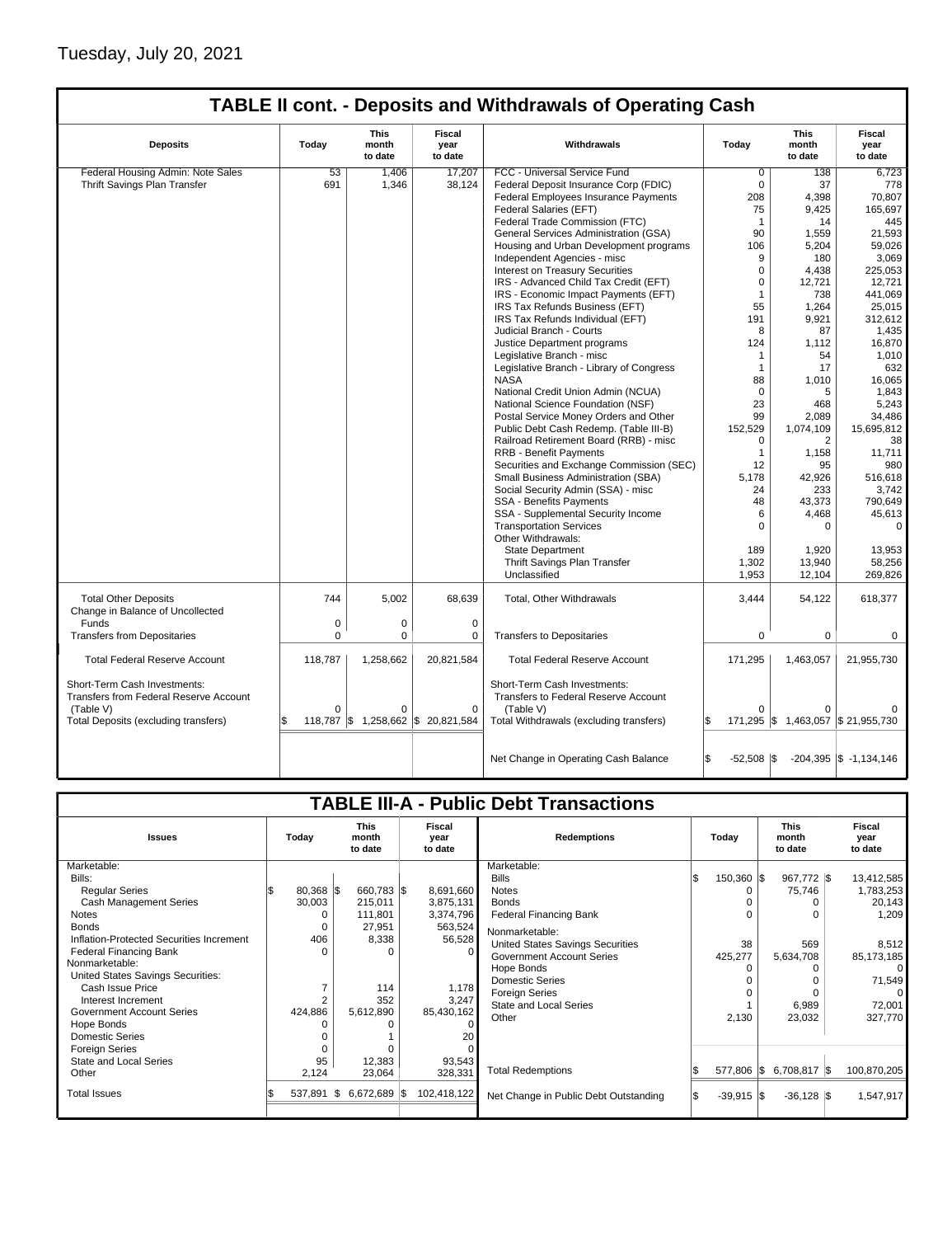## Tuesday, July 20, 2021

| <b>TABLE II cont. - Deposits and Withdrawals of Operating Cash</b> |             |                                 |                                    |                                             |                      |                                 |                                  |  |  |  |  |
|--------------------------------------------------------------------|-------------|---------------------------------|------------------------------------|---------------------------------------------|----------------------|---------------------------------|----------------------------------|--|--|--|--|
| <b>Deposits</b>                                                    | Today       | <b>This</b><br>month<br>to date | Fiscal<br>year<br>to date          | Withdrawals                                 | Today                | <b>This</b><br>month<br>to date | <b>Fiscal</b><br>year<br>to date |  |  |  |  |
| Federal Housing Admin: Note Sales                                  | 53          | 1.406                           | 17.207                             | FCC - Universal Service Fund                | 0                    | 138                             | 6.723                            |  |  |  |  |
| Thrift Savings Plan Transfer                                       | 691         | 1,346                           | 38,124                             | Federal Deposit Insurance Corp (FDIC)       | $\mathbf 0$          | 37                              | 778                              |  |  |  |  |
|                                                                    |             |                                 |                                    | Federal Employees Insurance Payments        | 208                  | 4,398                           | 70,807                           |  |  |  |  |
|                                                                    |             |                                 |                                    | Federal Salaries (EFT)                      | 75                   | 9,425                           | 165.697                          |  |  |  |  |
|                                                                    |             |                                 |                                    | Federal Trade Commission (FTC)              | $\mathbf{1}$         | 14                              | 445                              |  |  |  |  |
|                                                                    |             |                                 |                                    | General Services Administration (GSA)       | 90                   | 1,559                           | 21,593                           |  |  |  |  |
|                                                                    |             |                                 |                                    | Housing and Urban Development programs      | 106                  | 5,204                           | 59,026                           |  |  |  |  |
|                                                                    |             |                                 |                                    | Independent Agencies - misc                 | 9                    | 180                             | 3,069                            |  |  |  |  |
|                                                                    |             |                                 |                                    | <b>Interest on Treasury Securities</b>      | $\mathbf 0$          | 4,438                           | 225,053                          |  |  |  |  |
|                                                                    |             |                                 |                                    | IRS - Advanced Child Tax Credit (EFT)       | $\mathbf 0$          | 12,721                          | 12,721                           |  |  |  |  |
|                                                                    |             |                                 |                                    | IRS - Economic Impact Payments (EFT)        | $\mathbf{1}$         | 738                             | 441.069                          |  |  |  |  |
|                                                                    |             |                                 |                                    | IRS Tax Refunds Business (EFT)              | 55                   | 1,264                           | 25,015                           |  |  |  |  |
|                                                                    |             |                                 |                                    | IRS Tax Refunds Individual (EFT)            | 191                  | 9,921                           | 312,612                          |  |  |  |  |
|                                                                    |             |                                 |                                    | Judicial Branch - Courts                    | 8                    | 87                              | 1,435                            |  |  |  |  |
|                                                                    |             |                                 |                                    | Justice Department programs                 | 124                  | 1,112                           | 16,870                           |  |  |  |  |
|                                                                    |             |                                 |                                    | Legislative Branch - misc                   | $\mathbf 1$          | 54                              | 1,010                            |  |  |  |  |
|                                                                    |             |                                 |                                    | Legislative Branch - Library of Congress    | $\mathbf{1}$         | 17                              | 632                              |  |  |  |  |
|                                                                    |             |                                 |                                    | <b>NASA</b>                                 | 88                   | 1,010                           | 16,065                           |  |  |  |  |
|                                                                    |             |                                 |                                    | National Credit Union Admin (NCUA)          | $\mathbf 0$          | 5                               | 1,843                            |  |  |  |  |
|                                                                    |             |                                 |                                    | National Science Foundation (NSF)           | 23                   | 468                             | 5,243                            |  |  |  |  |
|                                                                    |             |                                 |                                    | Postal Service Money Orders and Other       | 99                   | 2.089                           | 34,486                           |  |  |  |  |
|                                                                    |             |                                 |                                    | Public Debt Cash Redemp. (Table III-B)      | 152,529              | 1,074,109                       | 15,695,812                       |  |  |  |  |
|                                                                    |             |                                 |                                    | Railroad Retirement Board (RRB) - misc      | 0                    | 2                               | 38                               |  |  |  |  |
|                                                                    |             |                                 |                                    | RRB - Benefit Payments                      | $\mathbf{1}$         | 1,158                           | 11,711                           |  |  |  |  |
|                                                                    |             |                                 |                                    | Securities and Exchange Commission (SEC)    | 12                   | 95                              | 980                              |  |  |  |  |
|                                                                    |             |                                 |                                    | Small Business Administration (SBA)         | 5,178                | 42,926                          | 516,618                          |  |  |  |  |
|                                                                    |             |                                 |                                    | Social Security Admin (SSA) - misc          | 24                   | 233                             | 3,742                            |  |  |  |  |
|                                                                    |             |                                 |                                    | <b>SSA - Benefits Payments</b>              | 48                   | 43,373                          | 790.649                          |  |  |  |  |
|                                                                    |             |                                 |                                    | SSA - Supplemental Security Income          | 6                    | 4,468                           | 45,613                           |  |  |  |  |
|                                                                    |             |                                 |                                    | <b>Transportation Services</b>              | $\Omega$             | $\Omega$                        | $\mathbf 0$                      |  |  |  |  |
|                                                                    |             |                                 |                                    | Other Withdrawals:                          |                      |                                 |                                  |  |  |  |  |
|                                                                    |             |                                 |                                    | <b>State Department</b>                     | 189                  | 1,920                           | 13,953                           |  |  |  |  |
|                                                                    |             |                                 |                                    | Thrift Savings Plan Transfer                | 1,302                | 13,940                          | 58,256                           |  |  |  |  |
|                                                                    |             |                                 |                                    | Unclassified                                | 1,953                | 12,104                          | 269,826                          |  |  |  |  |
| <b>Total Other Deposits</b><br>Change in Balance of Uncollected    | 744         | 5,002                           | 68,639                             | Total, Other Withdrawals                    | 3,444                | 54,122                          | 618,377                          |  |  |  |  |
| <b>Funds</b>                                                       | $\mathbf 0$ | $\mathbf 0$                     | $\mathbf 0$                        |                                             |                      |                                 |                                  |  |  |  |  |
| <b>Transfers from Depositaries</b>                                 | $\Omega$    | $\Omega$                        | $\mathbf 0$                        | <b>Transfers to Depositaries</b>            | $\mathbf 0$          | $\mathbf 0$                     | 0                                |  |  |  |  |
| <b>Total Federal Reserve Account</b>                               | 118,787     | 1,258,662                       | 20,821,584                         | <b>Total Federal Reserve Account</b>        | 171,295              | 1,463,057                       | 21,955,730                       |  |  |  |  |
|                                                                    |             |                                 |                                    |                                             |                      |                                 |                                  |  |  |  |  |
| Short-Term Cash Investments:                                       |             |                                 |                                    | Short-Term Cash Investments:                |                      |                                 |                                  |  |  |  |  |
| Transfers from Federal Reserve Account                             |             |                                 |                                    | <b>Transfers to Federal Reserve Account</b> |                      |                                 |                                  |  |  |  |  |
| (Table V)                                                          | $\Omega$    | $\Omega$                        | $\mathbf 0$                        | (Table V)                                   | $\Omega$             | $\Omega$                        |                                  |  |  |  |  |
| Total Deposits (excluding transfers)                               |             |                                 | 118,787 \$ 1,258,662 \$ 20,821,584 | Total Withdrawals (excluding transfers)     | l\$                  |                                 | 171,295 \$1,463,057 \$21,955,730 |  |  |  |  |
|                                                                    |             |                                 |                                    |                                             |                      |                                 |                                  |  |  |  |  |
|                                                                    |             |                                 |                                    | Net Change in Operating Cash Balance        | l\$<br>$-52,508$ \\$ |                                 | $-204,395$ \$ $-1,134,146$       |  |  |  |  |

| <b>TABLE III-A - Public Debt Transactions</b> |             |                                 |                                  |                                         |              |                                 |                           |  |  |  |
|-----------------------------------------------|-------------|---------------------------------|----------------------------------|-----------------------------------------|--------------|---------------------------------|---------------------------|--|--|--|
| <b>Issues</b>                                 | Today       | <b>This</b><br>month<br>to date | <b>Fiscal</b><br>year<br>to date | <b>Redemptions</b>                      | Todav        | <b>This</b><br>month<br>to date | Fiscal<br>year<br>to date |  |  |  |
| Marketable:                                   |             |                                 |                                  | Marketable:                             |              |                                 |                           |  |  |  |
| Bills:                                        |             |                                 |                                  | <b>Bills</b>                            | $150,360$ \$ | 967,772 \$                      | 13,412,585                |  |  |  |
| <b>Regular Series</b>                         | $80,368$ \$ | 660,783 \$                      | 8,691,660                        | <b>Notes</b>                            |              | 75,746                          | 1,783,253                 |  |  |  |
| <b>Cash Management Series</b>                 | 30,003      | 215,011                         | 3,875,131                        | <b>Bonds</b>                            |              |                                 | 20,143                    |  |  |  |
| <b>Notes</b>                                  |             | 111,801                         | 3,374,796                        | <b>Federal Financing Bank</b>           |              |                                 | 1,209                     |  |  |  |
| <b>Bonds</b>                                  | 0           | 27,951                          | 563,524                          | Nonmarketable:                          |              |                                 |                           |  |  |  |
| Inflation-Protected Securities Increment      | 406         | 8,338                           | 56,528                           | <b>United States Savings Securities</b> | 38           | 569                             | 8,512                     |  |  |  |
| <b>Federal Financing Bank</b>                 |             |                                 |                                  | <b>Government Account Series</b>        | 425,277      | 5,634,708                       | 85, 173, 185              |  |  |  |
| Nonmarketable:                                |             |                                 |                                  | Hope Bonds                              |              |                                 |                           |  |  |  |
| United States Savings Securities:             |             |                                 |                                  | <b>Domestic Series</b>                  |              |                                 | 71,549                    |  |  |  |
| Cash Issue Price                              |             | 114                             | 1,178                            | <b>Foreign Series</b>                   |              |                                 | 0                         |  |  |  |
| Interest Increment                            |             | 352                             | 3,247                            | <b>State and Local Series</b>           |              | 6,989                           | 72,001                    |  |  |  |
| Government Account Series                     | 424,886     | 5,612,890                       | 85,430,162                       | Other                                   | 2,130        | 23,032                          | 327,770                   |  |  |  |
| Hope Bonds                                    |             |                                 |                                  |                                         |              |                                 |                           |  |  |  |
| Domestic Series                               |             |                                 |                                  |                                         |              |                                 |                           |  |  |  |
| <b>Foreign Series</b>                         |             |                                 |                                  |                                         |              |                                 |                           |  |  |  |
| State and Local Series                        | 95          | 12,383                          | 93,543                           | <b>Total Redemptions</b>                | 577,806 \$   | 6,708,817 \$                    | 100,870,205               |  |  |  |
| Other                                         | 2,124       | 23,064                          | 328,331                          |                                         |              |                                 |                           |  |  |  |
| <b>Total Issues</b>                           | 537,891     | 6,672,689 \$<br>1\$             | 102,418,122                      | Net Change in Public Debt Outstanding   | $-39,915$ \$ | $-36,128$ \\$                   | 1,547,917                 |  |  |  |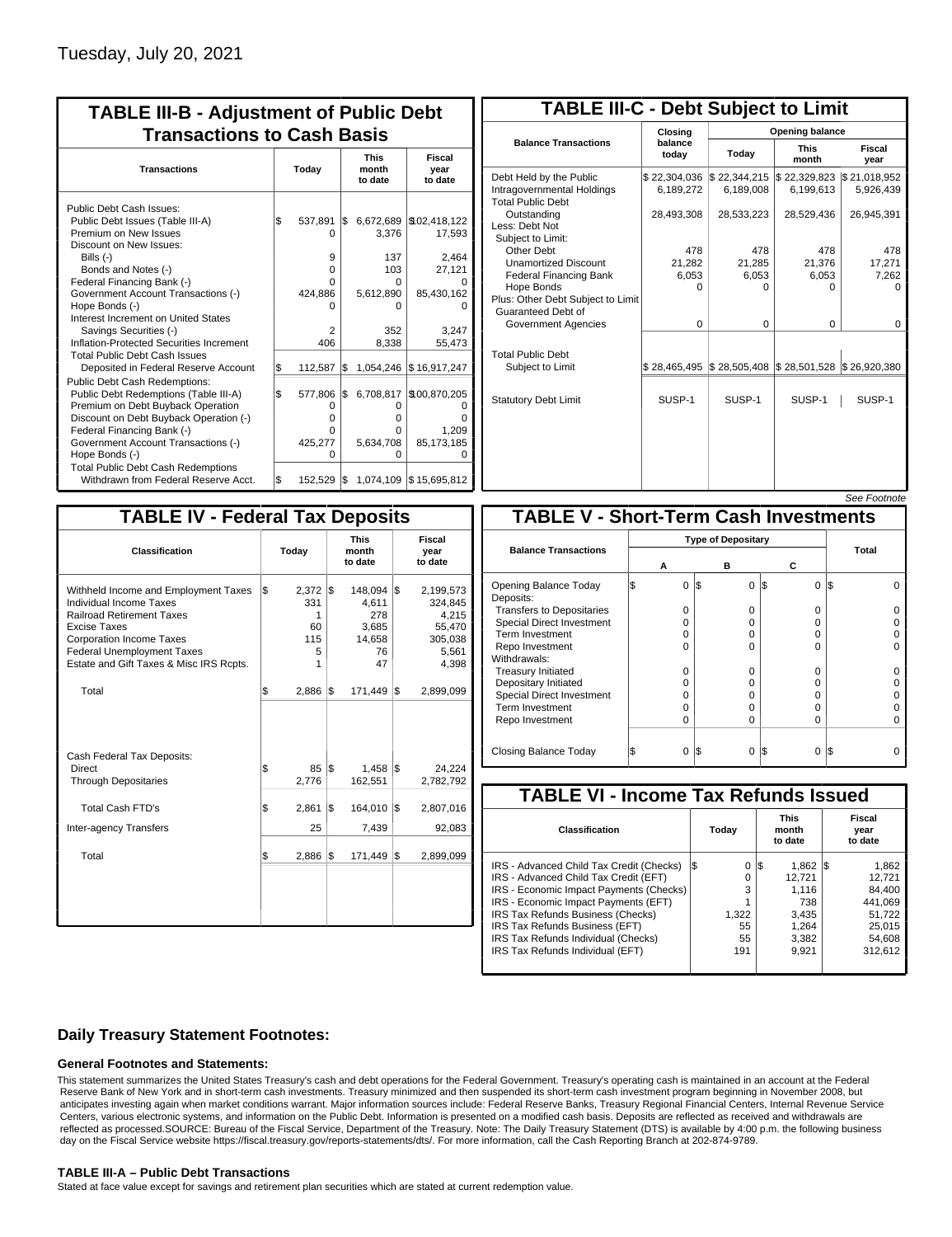| <b>TABLE III-B - Adjustment of Public Debt</b><br><b>Transactions to Cash Basis</b>                                                                                                                                                                                                                                                                                                                |       |                                                                |     |                                                            |                                                                                                 |  |  |  |  |
|----------------------------------------------------------------------------------------------------------------------------------------------------------------------------------------------------------------------------------------------------------------------------------------------------------------------------------------------------------------------------------------------------|-------|----------------------------------------------------------------|-----|------------------------------------------------------------|-------------------------------------------------------------------------------------------------|--|--|--|--|
| <b>Transactions</b>                                                                                                                                                                                                                                                                                                                                                                                | Today |                                                                |     | <b>This</b><br>month<br>to date                            | <b>Fiscal</b><br>year<br>to date                                                                |  |  |  |  |
| Public Debt Cash Issues:<br>Public Debt Issues (Table III-A)<br>Premium on New Issues<br>Discount on New Issues:<br>Bills $(-)$<br>Bonds and Notes (-)<br>Federal Financing Bank (-)<br>Government Account Transactions (-)<br>Hope Bonds (-)<br>Interest Increment on United States<br>Savings Securities (-)<br>Inflation-Protected Securities Increment<br><b>Total Public Debt Cash Issues</b> | \$    | 537,891<br>0<br>9<br>$\Omega$<br>U<br>424,886<br>n<br>2<br>406 | l\$ | 3,376<br>137<br>103<br>O<br>5,612,890<br>o<br>352<br>8,338 | 6,672,689 \\$02,418,122<br>17,593<br>2,464<br>27,121<br>O<br>85,430,162<br>0<br>3.247<br>55,473 |  |  |  |  |
| Deposited in Federal Reserve Account                                                                                                                                                                                                                                                                                                                                                               | S.    | 112,587                                                        | l\$ | 1,054,246                                                  | \$16,917,247                                                                                    |  |  |  |  |
| <b>Public Debt Cash Redemptions:</b><br>Public Debt Redemptions (Table III-A)<br>Premium on Debt Buyback Operation<br>Discount on Debt Buyback Operation (-)<br>Federal Financing Bank (-)<br>Government Account Transactions (-)<br>Hope Bonds (-)<br><b>Total Public Debt Cash Redemptions</b>                                                                                                   | l\$   | 577,806<br>0<br>$\Omega$<br>O<br>425.277<br>O                  | l\$ | 6,708,817<br>0<br>o<br>0<br>5,634,708<br>U                 | \$100,870,205<br>O<br>ŋ<br>1,209<br>85,173,185<br>$\Omega$                                      |  |  |  |  |
| Withdrawn from Federal Reserve Acct.                                                                                                                                                                                                                                                                                                                                                               | l\$   | 152,529                                                        | 1\$ |                                                            | 1,074,109 \$15,695,812                                                                          |  |  |  |  |

| <b>TABLE III-C - Debt Subject to Limit</b>                                        |                           |                                                         |                           |                           |  |  |  |  |
|-----------------------------------------------------------------------------------|---------------------------|---------------------------------------------------------|---------------------------|---------------------------|--|--|--|--|
|                                                                                   | Closing                   | Opening balance                                         |                           |                           |  |  |  |  |
| <b>Balance Transactions</b>                                                       | balance<br>today          | Today                                                   | <b>This</b><br>month      | Fiscal<br>year            |  |  |  |  |
| Debt Held by the Public<br>Intragovernmental Holdings<br><b>Total Public Debt</b> | \$22,304,036<br>6,189,272 | \$22,344,215<br>6,189,008                               | \$22,329,823<br>6,199,613 | \$21,018,952<br>5,926,439 |  |  |  |  |
| Outstanding<br>Less: Debt Not<br>Subiect to Limit:                                | 28,493,308                | 28,533,223                                              | 28,529,436                | 26,945,391                |  |  |  |  |
| Other Debt                                                                        | 478                       | 478                                                     | 478                       | 478                       |  |  |  |  |
| <b>Unamortized Discount</b>                                                       | 21,282                    | 21,285                                                  | 21,376                    | 17,271                    |  |  |  |  |
| <b>Federal Financing Bank</b>                                                     | 6,053                     | 6,053                                                   | 6,053                     | 7,262                     |  |  |  |  |
| Hope Bonds<br>Plus: Other Debt Subject to Limit<br>Guaranteed Debt of             | O                         | O                                                       | 0                         | 0                         |  |  |  |  |
| Government Agencies                                                               | 0                         | $\Omega$                                                | $\Omega$                  | 0                         |  |  |  |  |
| <b>Total Public Debt</b><br>Subject to Limit                                      |                           | $$28,465,495$ $$28,505,408$ $$28,501,528$ $$26,920,380$ |                           |                           |  |  |  |  |
| <b>Statutory Debt Limit</b>                                                       | SUSP-1                    | SUSP-1                                                  | SUSP-1                    | SUSP-1                    |  |  |  |  |
|                                                                                   |                           |                                                         |                           |                           |  |  |  |  |

| See Footnote |
|--------------|
|--------------|

| <b>TABLE IV - Federal Tax Deposits</b>                                                                                                                                                                                                        |                                 |                                                                                |                                                                      |  |  |  |  |  |  |
|-----------------------------------------------------------------------------------------------------------------------------------------------------------------------------------------------------------------------------------------------|---------------------------------|--------------------------------------------------------------------------------|----------------------------------------------------------------------|--|--|--|--|--|--|
| Classification                                                                                                                                                                                                                                | Today<br>month<br>to date       |                                                                                |                                                                      |  |  |  |  |  |  |
| Withheld Income and Employment Taxes<br>Individual Income Taxes<br><b>Railroad Retirement Taxes</b><br><b>Excise Taxes</b><br><b>Corporation Income Taxes</b><br><b>Federal Unemployment Taxes</b><br>Estate and Gift Taxes & Misc IRS Rcpts. | l\$<br>$2,372$ \$<br>331<br>115 | 148,094 \$<br>4,611<br>278<br>1<br>60<br>3,685<br>14,658<br>5<br>76<br>47<br>1 | 2,199,573<br>324,845<br>4,215<br>55,470<br>305,038<br>5,561<br>4,398 |  |  |  |  |  |  |
| Total                                                                                                                                                                                                                                         | \$<br>$2,886$ \$                | 171,449                                                                        | 1\$<br>2,899,099                                                     |  |  |  |  |  |  |
| Cash Federal Tax Deposits:<br>Direct<br><b>Through Depositaries</b>                                                                                                                                                                           | \$<br>2,776                     | $1,458$ \\$<br>85<br>l\$<br>162,551                                            | 24,224<br>2,782,792                                                  |  |  |  |  |  |  |
| <b>Total Cash FTD's</b>                                                                                                                                                                                                                       | Ŝ.<br>2,861                     | 1\$<br>164,010                                                                 | 1\$<br>2,807,016                                                     |  |  |  |  |  |  |
| <b>Inter-agency Transfers</b>                                                                                                                                                                                                                 |                                 | 25<br>7,439                                                                    | 92,083                                                               |  |  |  |  |  |  |
| Total                                                                                                                                                                                                                                         | 2,886<br>\$                     | 1\$<br>171,449                                                                 | 1\$<br>2,899,099                                                     |  |  |  |  |  |  |
|                                                                                                                                                                                                                                               |                                 |                                                                                |                                                                      |  |  |  |  |  |  |

|                                              |    |          |     |                           |          | <u>JEE I VUIIVIE</u> |  |
|----------------------------------------------|----|----------|-----|---------------------------|----------|----------------------|--|
| <b>TABLE V - Short-Term Cash Investments</b> |    |          |     |                           |          |                      |  |
|                                              |    |          |     | <b>Type of Depositary</b> |          |                      |  |
| <b>Balance Transactions</b>                  |    | А        |     | в                         | с        | Total                |  |
| Opening Balance Today<br>Deposits:           | \$ | $\Omega$ | 1\$ | $\Omega$                  | I\$<br>0 | I\$                  |  |
| <b>Transfers to Depositaries</b>             |    | O        |     | $\Omega$                  | O        |                      |  |
| <b>Special Direct Investment</b>             |    | O        |     | 0                         | O        |                      |  |
| Term Investment                              |    | O        |     | 0                         | O        |                      |  |
| Repo Investment                              |    | O        |     | 0                         | O        |                      |  |
| Withdrawals:                                 |    |          |     |                           |          |                      |  |
| <b>Treasury Initiated</b>                    |    | O        |     | 0                         | 0        |                      |  |
| Depositary Initiated                         |    | O        |     | 0                         | 0        |                      |  |
| <b>Special Direct Investment</b>             |    | O        |     | 0                         | 0        |                      |  |
| <b>Term Investment</b>                       |    | Ω        |     | 0                         | O        |                      |  |
| Repo Investment                              |    | 0        |     | $\Omega$                  | O        |                      |  |
|                                              |    |          |     |                           |          |                      |  |
| Closing Balance Today                        |    | 0        | l\$ | 0                         | I\$<br>0 | I\$                  |  |

| <b>TABLE VI - Income Tax Refunds Issued</b> |     |       |     |                                 |    |                           |  |  |  |
|---------------------------------------------|-----|-------|-----|---------------------------------|----|---------------------------|--|--|--|
| Classification                              |     | Today |     | <b>This</b><br>month<br>to date |    | Fiscal<br>year<br>to date |  |  |  |
| IRS - Advanced Child Tax Credit (Checks)    | I\$ | 0     | 1\$ | 1,862                           | 15 | 1,862                     |  |  |  |
| IRS - Advanced Child Tax Credit (EFT)       |     | 0     |     | 12.721                          |    | 12,721                    |  |  |  |
| IRS - Economic Impact Payments (Checks)     |     | 3     |     | 1.116                           |    | 84.400                    |  |  |  |
| IRS - Economic Impact Payments (EFT)        |     |       |     | 738                             |    | 441,069                   |  |  |  |
| IRS Tax Refunds Business (Checks)           |     | 1.322 |     | 3.435                           |    | 51.722                    |  |  |  |
| IRS Tax Refunds Business (EFT)              |     | 55    |     | 1.264                           |    | 25.015                    |  |  |  |
| IRS Tax Refunds Individual (Checks)         |     | 55    |     | 3,382                           |    | 54.608                    |  |  |  |
| IRS Tax Refunds Individual (EFT)            |     | 191   |     | 9.921                           |    | 312,612                   |  |  |  |
|                                             |     |       |     |                                 |    |                           |  |  |  |

### **Daily Treasury Statement Footnotes:**

### **General Footnotes and Statements:**

This statement summarizes the United States Treasury's cash and debt operations for the Federal Government. Treasury's operating cash is maintained in an account at the Federal Reserve Bank of New York and in short-term cash investments. Treasury minimized and then suspended its short-term cash investment program beginning in November 2008, but anticipates investing again when market conditions warrant. Major information sources include: Federal Reserve Banks, Treasury Regional Financial Centers, Internal Revenue Service Centers, various electronic systems, and information on the Public Debt. Information is presented on a modified cash basis. Deposits are reflected as received and withdrawals are reflected as processed.SOURCE: Bureau of the Fiscal Service, Department of the Treasury. Note: The Daily Treasury Statement (DTS) is available by 4:00 p.m. the following business day on the Fiscal Service website https://fiscal.treasury.gov/reports-statements/dts/. For more information, call the Cash Reporting Branch at 202-874-9789.

### **TABLE III-A – Public Debt Transactions**

Stated at face value except for savings and retirement plan securities which are stated at current redemption value.